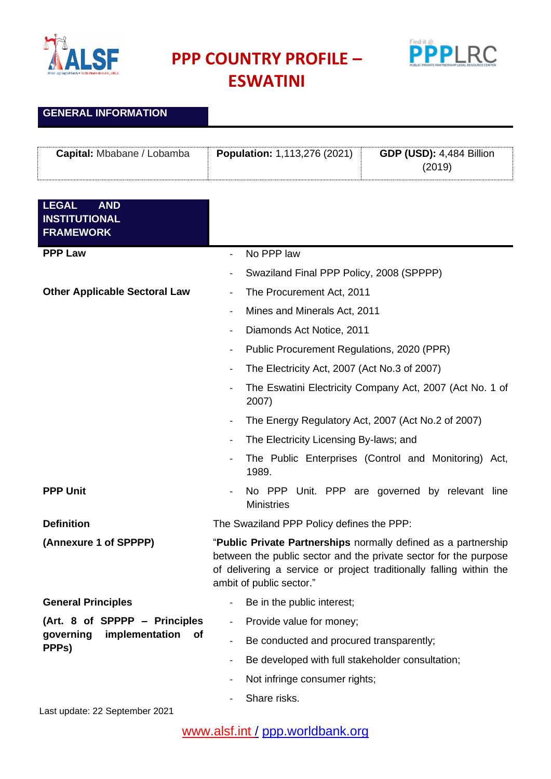

**GENERAL INFORMATION**

**PPP COUNTRY PROFILE –**



**ESWATINI**

| Capital: Mbabane / Lobamba                                             | <b>Population: 1,113,276 (2021)</b>                                                                                                                                                                                                   | <b>GDP (USD): 4,484 Billion</b><br>(2019)                |  |
|------------------------------------------------------------------------|---------------------------------------------------------------------------------------------------------------------------------------------------------------------------------------------------------------------------------------|----------------------------------------------------------|--|
|                                                                        |                                                                                                                                                                                                                                       |                                                          |  |
| <b>LEGAL</b><br><b>AND</b><br><b>INSTITUTIONAL</b><br><b>FRAMEWORK</b> |                                                                                                                                                                                                                                       |                                                          |  |
| <b>PPP Law</b>                                                         | No PPP law<br>$\overline{\phantom{a}}$                                                                                                                                                                                                |                                                          |  |
|                                                                        | Swaziland Final PPP Policy, 2008 (SPPPP)                                                                                                                                                                                              |                                                          |  |
| <b>Other Applicable Sectoral Law</b>                                   | The Procurement Act, 2011                                                                                                                                                                                                             |                                                          |  |
|                                                                        | Mines and Minerals Act, 2011<br>$\qquad \qquad \blacksquare$                                                                                                                                                                          |                                                          |  |
|                                                                        | Diamonds Act Notice, 2011<br>$\overline{\phantom{a}}$                                                                                                                                                                                 |                                                          |  |
|                                                                        | Public Procurement Regulations, 2020 (PPR)                                                                                                                                                                                            |                                                          |  |
|                                                                        | The Electricity Act, 2007 (Act No.3 of 2007)<br>$\overline{\phantom{a}}$                                                                                                                                                              |                                                          |  |
|                                                                        | 2007)                                                                                                                                                                                                                                 | The Eswatini Electricity Company Act, 2007 (Act No. 1 of |  |
|                                                                        | $\qquad \qquad -$                                                                                                                                                                                                                     | The Energy Regulatory Act, 2007 (Act No.2 of 2007)       |  |
|                                                                        | The Electricity Licensing By-laws; and<br>$\overline{\phantom{a}}$                                                                                                                                                                    |                                                          |  |
|                                                                        | 1989.                                                                                                                                                                                                                                 | The Public Enterprises (Control and Monitoring) Act,     |  |
| <b>PPP Unit</b>                                                        | <b>Ministries</b>                                                                                                                                                                                                                     | No PPP Unit. PPP are governed by relevant line           |  |
| <b>Definition</b>                                                      | The Swaziland PPP Policy defines the PPP:                                                                                                                                                                                             |                                                          |  |
| (Annexure 1 of SPPPP)                                                  | "Public Private Partnerships normally defined as a partnership<br>between the public sector and the private sector for the purpose<br>of delivering a service or project traditionally falling within the<br>ambit of public sector." |                                                          |  |
| <b>General Principles</b>                                              | Be in the public interest;<br>$\overline{\phantom{a}}$                                                                                                                                                                                |                                                          |  |
| (Art. 8 of SPPPP – Principles                                          | Provide value for money;                                                                                                                                                                                                              |                                                          |  |
| governing<br>implementation<br>Οf<br>PPP <sub>s</sub> )                | Be conducted and procured transparently;                                                                                                                                                                                              |                                                          |  |
|                                                                        | Be developed with full stakeholder consultation;<br>$\qquad \qquad \blacksquare$                                                                                                                                                      |                                                          |  |
|                                                                        | Not infringe consumer rights;<br>$\overline{a}$                                                                                                                                                                                       |                                                          |  |
|                                                                        | Share risks.                                                                                                                                                                                                                          |                                                          |  |
| Last update: 22 September 2021                                         |                                                                                                                                                                                                                                       |                                                          |  |

[www.alsf.int](http://www.alsf.int/) / [ppp.worldbank.org](https://ppp.worldbank.org/public-private-partnership/)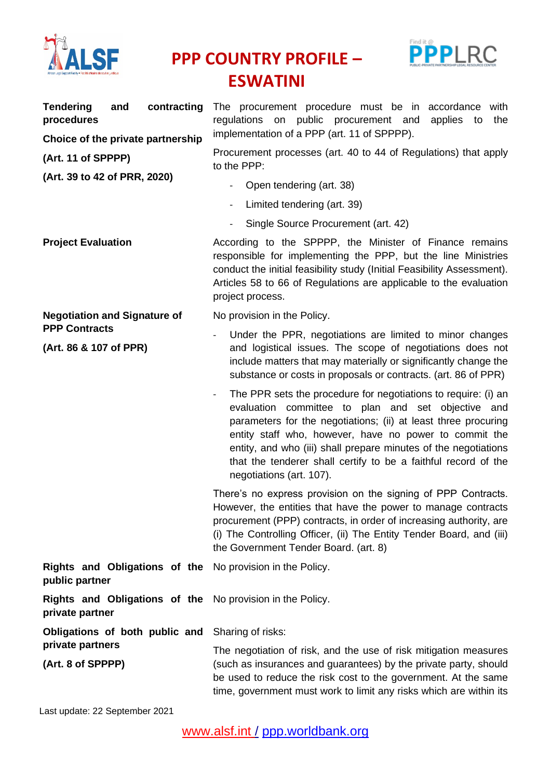

**PPP COUNTRY PROFILE – ESWATINI**



| <b>Tendering</b><br>and<br>contracting<br>procedures<br>Choice of the private partnership | The procurement procedure must be in accordance with<br>regulations on public procurement and<br>applies<br>the<br>to<br>implementation of a PPP (art. 11 of SPPPP).                                                                                                                                                                                                                                              |  |  |
|-------------------------------------------------------------------------------------------|-------------------------------------------------------------------------------------------------------------------------------------------------------------------------------------------------------------------------------------------------------------------------------------------------------------------------------------------------------------------------------------------------------------------|--|--|
| (Art. 11 of SPPPP)<br>(Art. 39 to 42 of PRR, 2020)                                        | Procurement processes (art. 40 to 44 of Regulations) that apply<br>to the PPP:                                                                                                                                                                                                                                                                                                                                    |  |  |
|                                                                                           | Open tendering (art. 38)                                                                                                                                                                                                                                                                                                                                                                                          |  |  |
|                                                                                           | Limited tendering (art. 39)<br>$\overline{\phantom{0}}$                                                                                                                                                                                                                                                                                                                                                           |  |  |
|                                                                                           | Single Source Procurement (art. 42)                                                                                                                                                                                                                                                                                                                                                                               |  |  |
| <b>Project Evaluation</b>                                                                 | According to the SPPPP, the Minister of Finance remains<br>responsible for implementing the PPP, but the line Ministries<br>conduct the initial feasibility study (Initial Feasibility Assessment).<br>Articles 58 to 66 of Regulations are applicable to the evaluation<br>project process.                                                                                                                      |  |  |
| <b>Negotiation and Signature of</b>                                                       | No provision in the Policy.                                                                                                                                                                                                                                                                                                                                                                                       |  |  |
| <b>PPP Contracts</b><br>(Art. 86 & 107 of PPR)                                            | Under the PPR, negotiations are limited to minor changes<br>and logistical issues. The scope of negotiations does not<br>include matters that may materially or significantly change the<br>substance or costs in proposals or contracts. (art. 86 of PPR)                                                                                                                                                        |  |  |
|                                                                                           | The PPR sets the procedure for negotiations to require: (i) an<br>evaluation committee to plan and set objective and<br>parameters for the negotiations; (ii) at least three procuring<br>entity staff who, however, have no power to commit the<br>entity, and who (iii) shall prepare minutes of the negotiations<br>that the tenderer shall certify to be a faithful record of the<br>negotiations (art. 107). |  |  |
|                                                                                           | There's no express provision on the signing of PPP Contracts.<br>However, the entities that have the power to manage contracts<br>procurement (PPP) contracts, in order of increasing authority, are<br>(i) The Controlling Officer, (ii) The Entity Tender Board, and (iii)<br>the Government Tender Board. (art. 8)                                                                                             |  |  |
| Rights and Obligations of the<br>public partner                                           | No provision in the Policy.                                                                                                                                                                                                                                                                                                                                                                                       |  |  |
| Rights and Obligations of the<br>private partner                                          | No provision in the Policy.                                                                                                                                                                                                                                                                                                                                                                                       |  |  |
| Obligations of both public and                                                            | Sharing of risks:                                                                                                                                                                                                                                                                                                                                                                                                 |  |  |
| private partners                                                                          | The negotiation of risk, and the use of risk mitigation measures                                                                                                                                                                                                                                                                                                                                                  |  |  |
| (Art. 8 of SPPPP)                                                                         | (such as insurances and guarantees) by the private party, should<br>be used to reduce the risk cost to the government. At the same<br>time, government must work to limit any risks which are within its                                                                                                                                                                                                          |  |  |

Last update: 22 September 2021